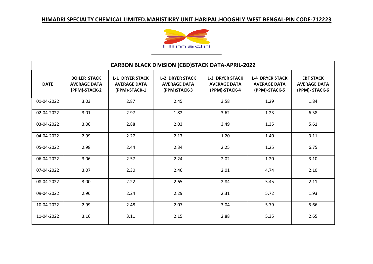

| <b>CARBON BLACK DIVISION (CBD)STACK DATA-APRIL-2022</b> |                                                             |                                                                |                                                               |                                                                |                                                                |                                                          |  |
|---------------------------------------------------------|-------------------------------------------------------------|----------------------------------------------------------------|---------------------------------------------------------------|----------------------------------------------------------------|----------------------------------------------------------------|----------------------------------------------------------|--|
| <b>DATE</b>                                             | <b>BOILER STACK</b><br><b>AVERAGE DATA</b><br>(PPM)-STACK-2 | <b>L-1 DRYER STACK</b><br><b>AVERAGE DATA</b><br>(PPM)-STACK-1 | <b>L-2 DRYER STACK</b><br><b>AVERAGE DATA</b><br>(PPM)STACK-3 | <b>L-3 DRYER STACK</b><br><b>AVERAGE DATA</b><br>(PPM)-STACK-4 | <b>L-4 DRYER STACK</b><br><b>AVERAGE DATA</b><br>(PPM)-STACK-5 | <b>EBF STACK</b><br><b>AVERAGE DATA</b><br>(PPM)-STACK-6 |  |
| 01-04-2022                                              | 3.03                                                        | 2.87                                                           | 2.45                                                          | 3.58                                                           | 1.29                                                           | 1.84                                                     |  |
| 02-04-2022                                              | 3.01                                                        | 2.97                                                           | 1.82                                                          | 3.62                                                           | 1.23                                                           | 6.38                                                     |  |
| 03-04-2022                                              | 3.06                                                        | 2.88                                                           | 2.03                                                          | 3.49                                                           | 1.35                                                           | 5.61                                                     |  |
| 04-04-2022                                              | 2.99                                                        | 2.27                                                           | 2.17                                                          | 1.20                                                           | 1.40                                                           | 3.11                                                     |  |
| 05-04-2022                                              | 2.98                                                        | 2.44                                                           | 2.34                                                          | 2.25                                                           | 1.25                                                           | 6.75                                                     |  |
| 06-04-2022                                              | 3.06                                                        | 2.57                                                           | 2.24                                                          | 2.02                                                           | 1.20                                                           | 3.10                                                     |  |
| 07-04-2022                                              | 3.07                                                        | 2.30                                                           | 2.46                                                          | 2.01                                                           | 4.74                                                           | 2.10                                                     |  |
| 08-04-2022                                              | 3.00                                                        | 2.22                                                           | 2.65                                                          | 2.84                                                           | 5.45                                                           | 2.11                                                     |  |
| 09-04-2022                                              | 2.96                                                        | 2.24                                                           | 2.29                                                          | 2.31                                                           | 5.72                                                           | 1.93                                                     |  |
| 10-04-2022                                              | 2.99                                                        | 2.48                                                           | 2.07                                                          | 3.04                                                           | 5.79                                                           | 5.66                                                     |  |
| 11-04-2022                                              | 3.16                                                        | 3.11                                                           | 2.15                                                          | 2.88                                                           | 5.35                                                           | 2.65                                                     |  |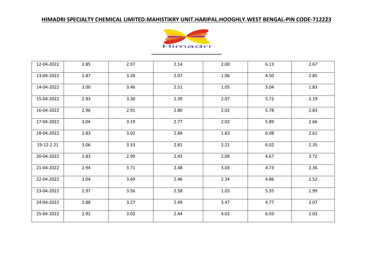

| 12-04-2022 | 2.85 | 2.97 | 2.14 | 2.00 | 6.13 | 2.67 |
|------------|------|------|------|------|------|------|
| 13-04-2022 | 2.87 | 3.28 | 2.07 | 1.06 | 4.50 | 2.85 |
| 14-04-2022 | 3.00 | 3.46 | 2.51 | 1.05 | 3.04 | 1.83 |
| 15-04-2022 | 2.93 | 3.30 | 2.39 | 2.07 | 5.72 | 2.19 |
| 16-04-2022 | 2.96 | 2.91 | 2.80 | 2.02 | 5.78 | 2.83 |
| 17-04-2022 | 3.04 | 3.19 | 2.77 | 2.02 | 5.89 | 2.66 |
| 18-04-2022 | 2.83 | 3.02 | 2.84 | 1.63 | 6.08 | 2.61 |
| 19-12-2.21 | 3.06 | 3.33 | 2.81 | 2.21 | 6.02 | 2.35 |
| 20-04-2022 | 2.83 | 2.99 | 2.43 | 2.09 | 4.67 | 3.72 |
| 21-04-2022 | 2.94 | 3.71 | 2.48 | 3.03 | 4.73 | 2.36 |
| 22-04-2022 | 3.04 | 3.69 | 2.46 | 2.34 | 4.86 | 2.52 |
| 23-04-2022 | 2.97 | 3.56 | 2.58 | 1.03 | 5.35 | 1.99 |
| 24-04-2022 | 2.88 | 3.27 | 2.49 | 3.47 | 4.77 | 2.07 |
| 25-04-2022 | 2.92 | 3.02 | 2.44 | 4.02 | 6.03 | 2.03 |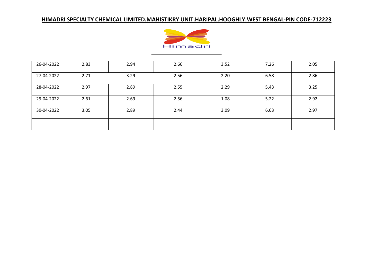

| 26-04-2022 | 2.83 | 2.94 | 2.66 | 3.52 | 7.26 | 2.05 |
|------------|------|------|------|------|------|------|
| 27-04-2022 | 2.71 | 3.29 | 2.56 | 2.20 | 6.58 | 2.86 |
| 28-04-2022 | 2.97 | 2.89 | 2.55 | 2.29 | 5.43 | 3.25 |
| 29-04-2022 | 2.61 | 2.69 | 2.56 | 1.08 | 5.22 | 2.92 |
| 30-04-2022 | 3.05 | 2.89 | 2.44 | 3.09 | 6.63 | 2.97 |
|            |      |      |      |      |      |      |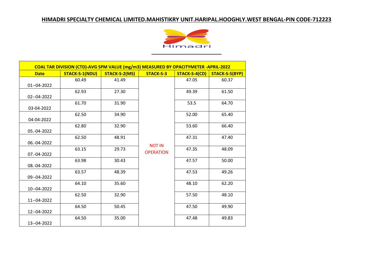

| COAL TAR DIVISION (CTD)-AVG SPM VALUE (mg/m3) MEASURED BY OPACITYMETER -APRIL-2022 |                       |               |                                   |               |                |  |
|------------------------------------------------------------------------------------|-----------------------|---------------|-----------------------------------|---------------|----------------|--|
| <b>Date</b>                                                                        | <b>STACK-S-1(NDU)</b> | STACK-S-2(MS) | <b>STACK-S-3</b>                  | STACK-S-4(CD) | STACK-S-5(BYP) |  |
| 01--04-2022                                                                        | 60.49                 | 41.49         |                                   | 47.05         | 60.37          |  |
| 02--04-2022                                                                        | 62.93                 | 27.30         |                                   | 49.39         | 61.50          |  |
| 03-04-2022                                                                         | 61.70                 | 31.90         |                                   | 53.5          | 64.70          |  |
| 04-04-2022                                                                         | 62.50                 | 34.90         |                                   | 52.00         | 65.40          |  |
| 05.-04-2022                                                                        | 62.80                 | 32.90         |                                   | 53.60         | 66.40          |  |
| 06.-04-2022                                                                        | 62.50                 | 48.91         |                                   | 47.31         | 47.40          |  |
| 07.-04-2022                                                                        | 63.15                 | 29.73         | <b>NOT IN</b><br><b>OPERATION</b> | 47.35         | 48.09          |  |
| 08.-04-2022                                                                        | 63.98                 | 30.43         |                                   | 47.57         | 50.00          |  |
| 09--04-2022                                                                        | 63.57                 | 48.39         |                                   | 47.53         | 49.26          |  |
| 10--04-2022                                                                        | 64.10                 | 35.60         |                                   | 48.10         | 62.20          |  |
| 11--04-2022                                                                        | 62.50                 | 32.90         |                                   | 57.50         | 48.10          |  |
| 12--04-2022                                                                        | 64.50                 | 50.45         |                                   | 47.50         | 49.90          |  |
| 13--04-2022                                                                        | 64.50                 | 35.00         |                                   | 47.48         | 49.83          |  |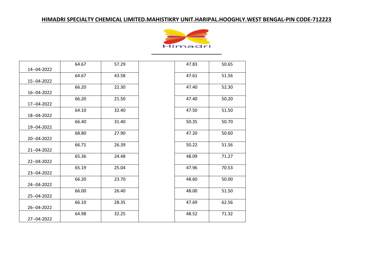

| 14--04-2022 | 64.67 | 57.29 | 47.83 | 50.65 |
|-------------|-------|-------|-------|-------|
| 15--04-2022 | 64.67 | 43.58 | 47.61 | 51.56 |
| 16--04-2022 | 66.20 | 22.30 | 47.40 | 52.30 |
| 17--04-2022 | 66.20 | 21.50 | 47.40 | 50.20 |
| 18--04-2022 | 64.10 | 32.40 | 47.50 | 51.50 |
| 19--04-2022 | 66.40 | 31.40 | 50.35 | 50.70 |
| 20--04-2022 | 68.80 | 27.90 | 47.20 | 50.60 |
| 21--04-2022 | 66.71 | 26.39 | 50.22 | 51.56 |
| 22--04-2022 | 65.36 | 24.48 | 48.09 | 71.27 |
| 23--04-2022 | 65.19 | 25.04 | 47.96 | 70.53 |
| 24--04-2022 | 66.20 | 23.70 | 48.60 | 50.00 |
| 25--04-2022 | 66.00 | 26.40 | 48.00 | 51.50 |
| 26--04-2022 | 66.10 | 28.35 | 47.69 | 62.56 |
| 27--04-2022 | 64.98 | 32.25 | 48.52 | 71.32 |

| 47.83 | 50.65 |
|-------|-------|
| 47.61 | 51.56 |
| 47.40 | 52.30 |
| 47.40 | 50.20 |
| 47.50 | 51.50 |
| 50.35 | 50.70 |
| 47.20 | 50.60 |
| 50.22 | 51.56 |
| 48.09 | 71.27 |
| 47.96 | 70.53 |
| 48.60 | 50.00 |
| 48.00 | 51.50 |
| 47.69 | 62.56 |
| 48.52 | 71.32 |